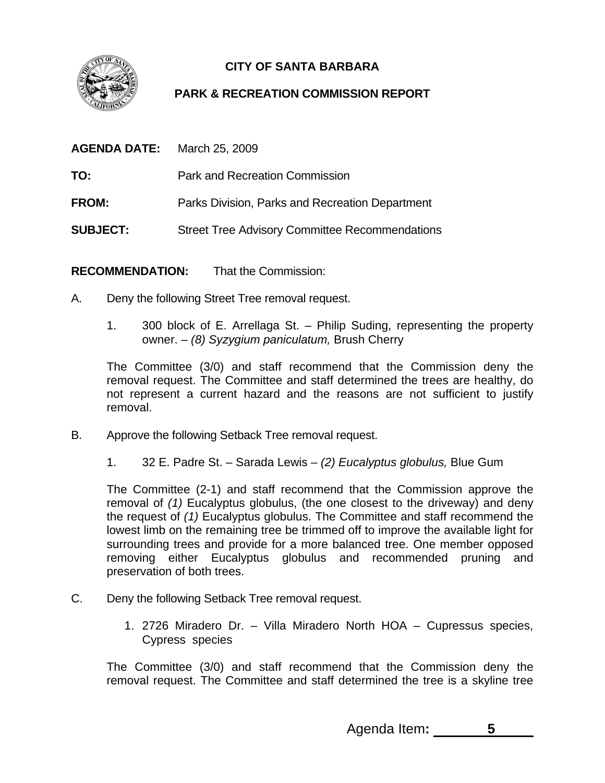

## **CITY OF SANTA BARBARA**

## **PARK & RECREATION COMMISSION REPORT**

| AGENDA DATE:    | March 25, 2009                                        |
|-----------------|-------------------------------------------------------|
| TO:             | <b>Park and Recreation Commission</b>                 |
| <b>FROM:</b>    | Parks Division, Parks and Recreation Department       |
| <b>SUBJECT:</b> | <b>Street Tree Advisory Committee Recommendations</b> |

**RECOMMENDATION:** That the Commission:

- A. Deny the following Street Tree removal request.
	- 1. 300 block of E. Arrellaga St. Philip Suding, representing the property owner. – *(8) Syzygium paniculatum,* Brush Cherry

The Committee (3/0) and staff recommend that the Commission deny the removal request. The Committee and staff determined the trees are healthy, do not represent a current hazard and the reasons are not sufficient to justify removal.

- B. Approve the following Setback Tree removal request.
	- 1. 32 E. Padre St. Sarada Lewis *(2) Eucalyptus globulus,* Blue Gum

The Committee (2-1) and staff recommend that the Commission approve the removal of *(1)* Eucalyptus globulus, (the one closest to the driveway) and deny the request of *(1)* Eucalyptus globulus. The Committee and staff recommend the lowest limb on the remaining tree be trimmed off to improve the available light for surrounding trees and provide for a more balanced tree. One member opposed removing either Eucalyptus globulus and recommended pruning and preservation of both trees.

- C. Deny the following Setback Tree removal request.
	- 1. 2726 Miradero Dr. Villa Miradero North HOA Cupressus species, Cypress species

The Committee (3/0) and staff recommend that the Commission deny the removal request. The Committee and staff determined the tree is a skyline tree